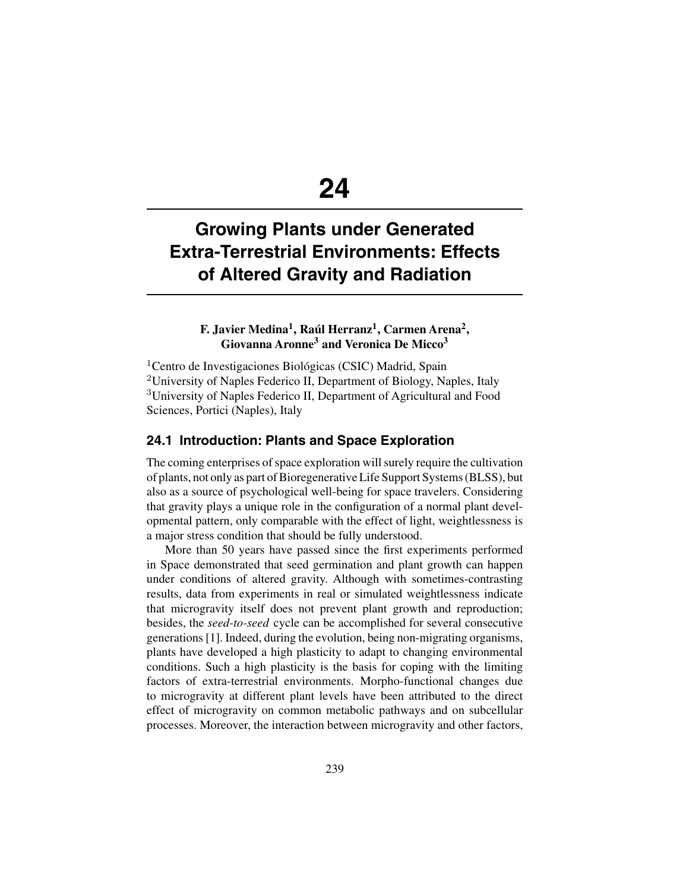# **24**

## **Growing Plants under Generated Extra-Terrestrial Environments: Effects of Altered Gravity and Radiation**

## **F. Javier Medina1, Raúl Herranz1, Carmen Arena2, Giovanna Aronne3 and Veronica De Micco3**

<sup>1</sup> Centro de Investigaciones Biológicas (CSIC) Madrid, Spain <sup>2</sup>University of Naples Federico II, Department of Biology, Naples, Italy <sup>3</sup>University of Naples Federico II, Department of Agricultural and Food Sciences, Portici (Naples), Italy

#### **24.1 Introduction: Plants and Space Exploration**

The coming enterprises of space exploration will surely require the cultivation of plants, not only as part of Bioregenerative Life Support Systems (BLSS), but also as a source of psychological well-being for space travelers. Considering that gravity plays a unique role in the configuration of a normal plant developmental pattern, only comparable with the effect of light, weightlessness is a major stress condition that should be fully understood.

More than 50 years have passed since the first experiments performed in Space demonstrated that seed germination and plant growth can happen under conditions of altered gravity. Although with sometimes-contrasting results, data from experiments in real or simulated weightlessness indicate that microgravity itself does not prevent plant growth and reproduction; besides, the *seed-to-seed* cycle can be accomplished for several consecutive generations [1]. Indeed, during the evolution, being non-migrating organisms, plants have developed a high plasticity to adapt to changing environmental conditions. Such a high plasticity is the basis for coping with the limiting factors of extra-terrestrial environments. Morpho-functional changes due to microgravity at different plant levels have been attributed to the direct effect of microgravity on common metabolic pathways and on subcellular processes. Moreover, the interaction between microgravity and other factors,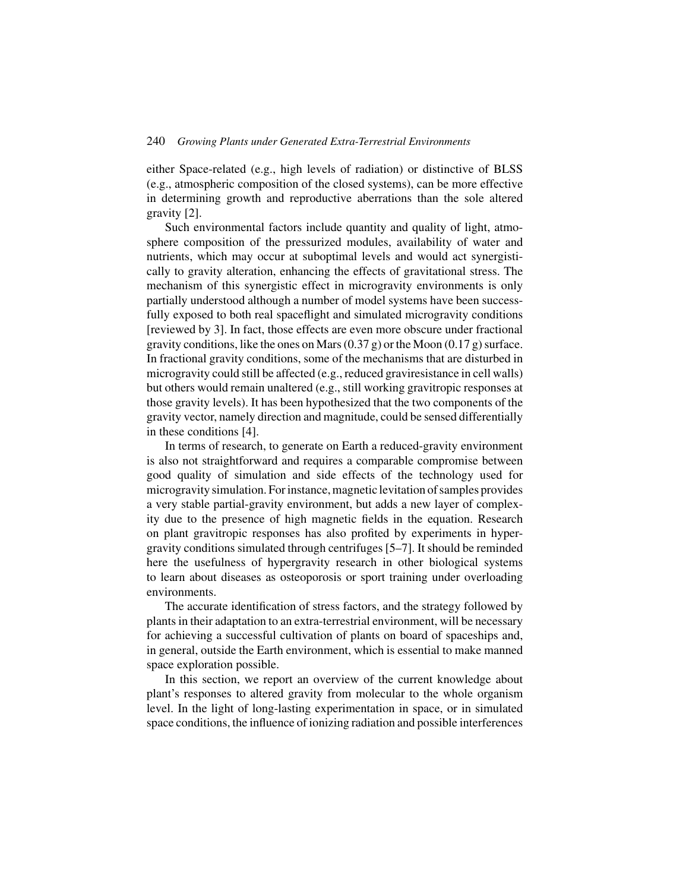either Space-related (e.g., high levels of radiation) or distinctive of BLSS (e.g., atmospheric composition of the closed systems), can be more effective in determining growth and reproductive aberrations than the sole altered gravity [2].

Such environmental factors include quantity and quality of light, atmosphere composition of the pressurized modules, availability of water and nutrients, which may occur at suboptimal levels and would act synergistically to gravity alteration, enhancing the effects of gravitational stress. The mechanism of this synergistic effect in microgravity environments is only partially understood although a number of model systems have been successfully exposed to both real spaceflight and simulated microgravity conditions [reviewed by 3]. In fact, those effects are even more obscure under fractional gravity conditions, like the ones on Mars  $(0.37 g)$  or the Moon  $(0.17 g)$  surface. In fractional gravity conditions, some of the mechanisms that are disturbed in microgravity could still be affected (e.g., reduced graviresistance in cell walls) but others would remain unaltered (e.g., still working gravitropic responses at those gravity levels). It has been hypothesized that the two components of the gravity vector, namely direction and magnitude, could be sensed differentially in these conditions [4].

In terms of research, to generate on Earth a reduced-gravity environment is also not straightforward and requires a comparable compromise between good quality of simulation and side effects of the technology used for microgravity simulation. For instance, magnetic levitation of samples provides a very stable partial-gravity environment, but adds a new layer of complexity due to the presence of high magnetic fields in the equation. Research on plant gravitropic responses has also profited by experiments in hypergravity conditions simulated through centrifuges [5–7]. It should be reminded here the usefulness of hypergravity research in other biological systems to learn about diseases as osteoporosis or sport training under overloading environments.

The accurate identification of stress factors, and the strategy followed by plants in their adaptation to an extra-terrestrial environment, will be necessary for achieving a successful cultivation of plants on board of spaceships and, in general, outside the Earth environment, which is essential to make manned space exploration possible.

In this section, we report an overview of the current knowledge about plant's responses to altered gravity from molecular to the whole organism level. In the light of long-lasting experimentation in space, or in simulated space conditions, the influence of ionizing radiation and possible interferences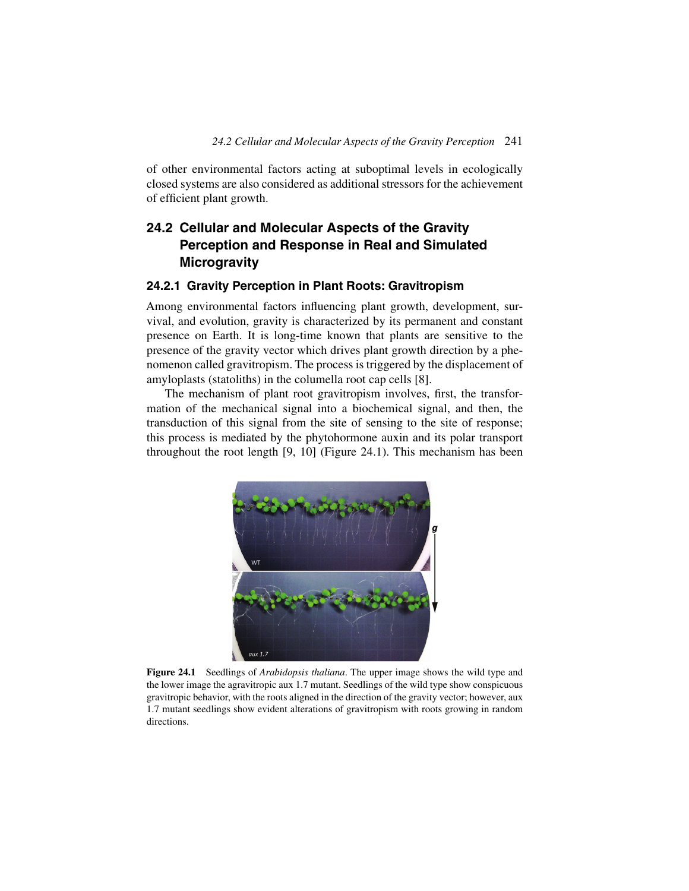of other environmental factors acting at suboptimal levels in ecologically closed systems are also considered as additional stressors for the achievement of efficient plant growth.

## **24.2 Cellular and Molecular Aspects of the Gravity Perception and Response in Real and Simulated Microgravity**

#### **24.2.1 Gravity Perception in Plant Roots: Gravitropism**

Among environmental factors influencing plant growth, development, survival, and evolution, gravity is characterized by its permanent and constant presence on Earth. It is long-time known that plants are sensitive to the presence of the gravity vector which drives plant growth direction by a phenomenon called gravitropism. The process is triggered by the displacement of amyloplasts (statoliths) in the columella root cap cells [8].

The mechanism of plant root gravitropism involves, first, the transformation of the mechanical signal into a biochemical signal, and then, the transduction of this signal from the site of sensing to the site of response; this process is mediated by the phytohormone auxin and its polar transport throughout the root length [9, 10] (Figure 24.1). This mechanism has been



**Figure 24.1** Seedlings of *Arabidopsis thaliana*. The upper image shows the wild type and the lower image the agravitropic aux 1.7 mutant. Seedlings of the wild type show conspicuous gravitropic behavior, with the roots aligned in the direction of the gravity vector; however, aux 1.7 mutant seedlings show evident alterations of gravitropism with roots growing in random directions.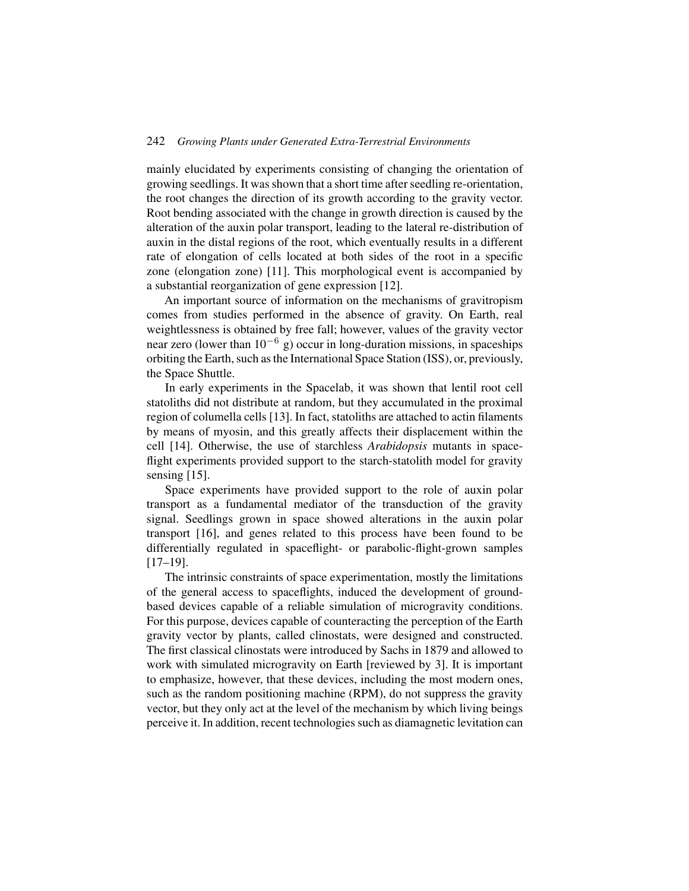mainly elucidated by experiments consisting of changing the orientation of growing seedlings. It was shown that a short time after seedling re-orientation, the root changes the direction of its growth according to the gravity vector. Root bending associated with the change in growth direction is caused by the alteration of the auxin polar transport, leading to the lateral re-distribution of auxin in the distal regions of the root, which eventually results in a different rate of elongation of cells located at both sides of the root in a specific zone (elongation zone) [11]. This morphological event is accompanied by a substantial reorganization of gene expression [12].

An important source of information on the mechanisms of gravitropism comes from studies performed in the absence of gravity. On Earth, real weightlessness is obtained by free fall; however, values of the gravity vector near zero (lower than  $10^{-6}$  g) occur in long-duration missions, in spaceships orbiting the Earth, such as the International Space Station (ISS), or, previously, the Space Shuttle.

In early experiments in the Spacelab, it was shown that lentil root cell statoliths did not distribute at random, but they accumulated in the proximal region of columella cells [13]. In fact, statoliths are attached to actin filaments by means of myosin, and this greatly affects their displacement within the cell [14]. Otherwise, the use of starchless *Arabidopsis* mutants in spaceflight experiments provided support to the starch-statolith model for gravity sensing [15].

Space experiments have provided support to the role of auxin polar transport as a fundamental mediator of the transduction of the gravity signal. Seedlings grown in space showed alterations in the auxin polar transport [16], and genes related to this process have been found to be differentially regulated in spaceflight- or parabolic-flight-grown samples [17–19].

The intrinsic constraints of space experimentation, mostly the limitations of the general access to spaceflights, induced the development of groundbased devices capable of a reliable simulation of microgravity conditions. For this purpose, devices capable of counteracting the perception of the Earth gravity vector by plants, called clinostats, were designed and constructed. The first classical clinostats were introduced by Sachs in 1879 and allowed to work with simulated microgravity on Earth [reviewed by 3]. It is important to emphasize, however, that these devices, including the most modern ones, such as the random positioning machine (RPM), do not suppress the gravity vector, but they only act at the level of the mechanism by which living beings perceive it. In addition, recent technologies such as diamagnetic levitation can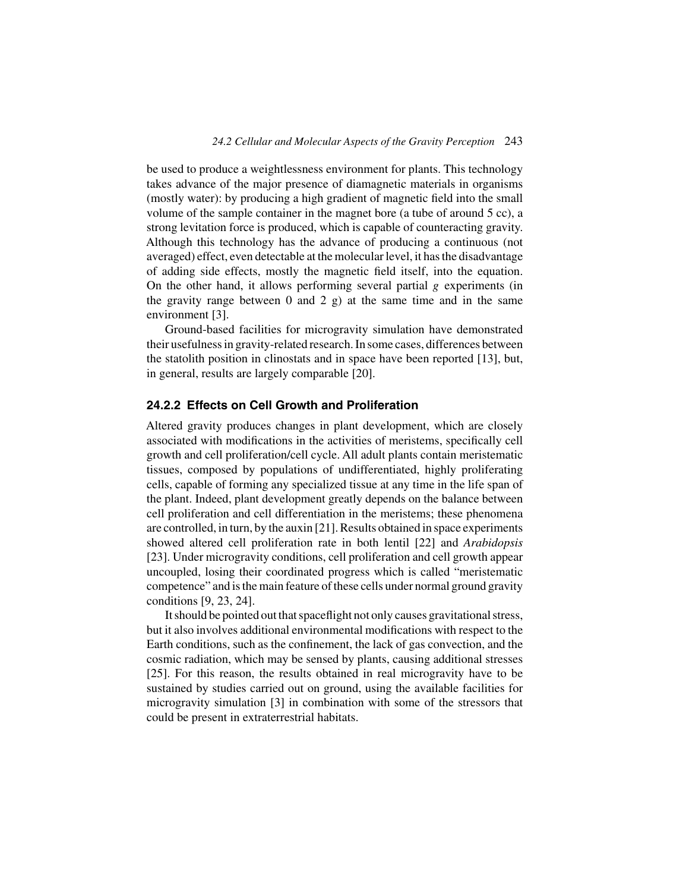be used to produce a weightlessness environment for plants. This technology takes advance of the major presence of diamagnetic materials in organisms (mostly water): by producing a high gradient of magnetic field into the small volume of the sample container in the magnet bore (a tube of around 5 cc), a strong levitation force is produced, which is capable of counteracting gravity. Although this technology has the advance of producing a continuous (not averaged) effect, even detectable at the molecular level, it has the disadvantage of adding side effects, mostly the magnetic field itself, into the equation. On the other hand, it allows performing several partial *g* experiments (in the gravity range between  $0$  and  $2$  g) at the same time and in the same environment [3].

Ground-based facilities for microgravity simulation have demonstrated their usefulness in gravity-related research. In some cases, differences between the statolith position in clinostats and in space have been reported [13], but, in general, results are largely comparable [20].

#### **24.2.2 Effects on Cell Growth and Proliferation**

Altered gravity produces changes in plant development, which are closely associated with modifications in the activities of meristems, specifically cell growth and cell proliferation/cell cycle. All adult plants contain meristematic tissues, composed by populations of undifferentiated, highly proliferating cells, capable of forming any specialized tissue at any time in the life span of the plant. Indeed, plant development greatly depends on the balance between cell proliferation and cell differentiation in the meristems; these phenomena are controlled, in turn, by the auxin [21]. Results obtained in space experiments showed altered cell proliferation rate in both lentil [22] and *Arabidopsis* [23]. Under microgravity conditions, cell proliferation and cell growth appear uncoupled, losing their coordinated progress which is called "meristematic competence" and is the main feature of these cells under normal ground gravity conditions [9, 23, 24].

It should be pointed out that spaceflight not only causes gravitational stress, but it also involves additional environmental modifications with respect to the Earth conditions, such as the confinement, the lack of gas convection, and the cosmic radiation, which may be sensed by plants, causing additional stresses [25]. For this reason, the results obtained in real microgravity have to be sustained by studies carried out on ground, using the available facilities for microgravity simulation [3] in combination with some of the stressors that could be present in extraterrestrial habitats.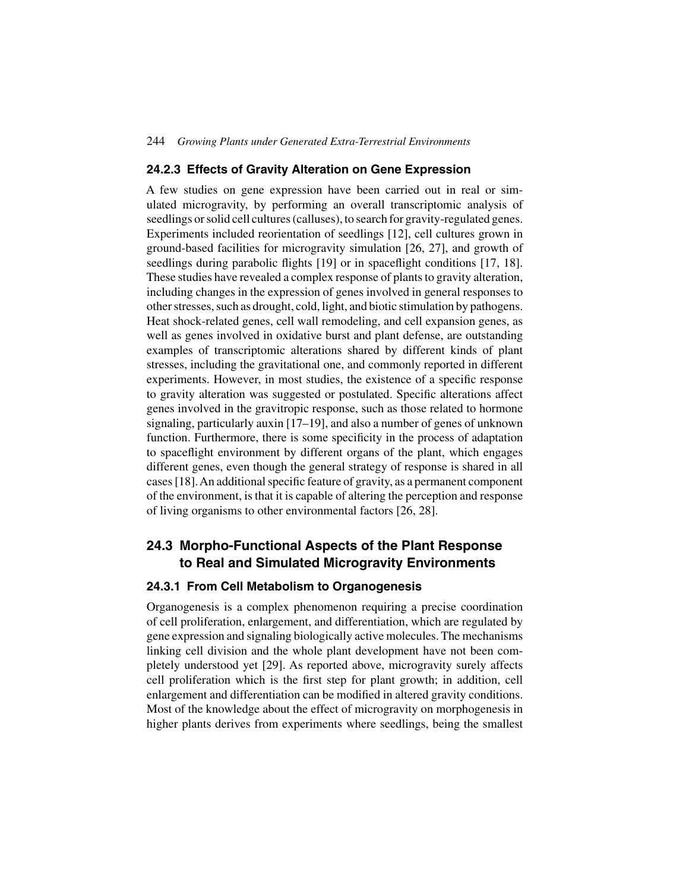#### **24.2.3 Effects of Gravity Alteration on Gene Expression**

A few studies on gene expression have been carried out in real or simulated microgravity, by performing an overall transcriptomic analysis of seedlings or solid cell cultures (calluses), to search for gravity-regulated genes. Experiments included reorientation of seedlings [12], cell cultures grown in ground-based facilities for microgravity simulation [26, 27], and growth of seedlings during parabolic flights [19] or in spaceflight conditions [17, 18]. These studies have revealed a complex response of plants to gravity alteration, including changes in the expression of genes involved in general responses to other stresses, such as drought, cold, light, and biotic stimulation by pathogens. Heat shock-related genes, cell wall remodeling, and cell expansion genes, as well as genes involved in oxidative burst and plant defense, are outstanding examples of transcriptomic alterations shared by different kinds of plant stresses, including the gravitational one, and commonly reported in different experiments. However, in most studies, the existence of a specific response to gravity alteration was suggested or postulated. Specific alterations affect genes involved in the gravitropic response, such as those related to hormone signaling, particularly auxin [17–19], and also a number of genes of unknown function. Furthermore, there is some specificity in the process of adaptation to spaceflight environment by different organs of the plant, which engages different genes, even though the general strategy of response is shared in all cases [18].An additional specific feature of gravity, as a permanent component of the environment, is that it is capable of altering the perception and response of living organisms to other environmental factors [26, 28].

## **24.3 Morpho-Functional Aspects of the Plant Response to Real and Simulated Microgravity Environments**

#### **24.3.1 From Cell Metabolism to Organogenesis**

Organogenesis is a complex phenomenon requiring a precise coordination of cell proliferation, enlargement, and differentiation, which are regulated by gene expression and signaling biologically active molecules. The mechanisms linking cell division and the whole plant development have not been completely understood yet [29]. As reported above, microgravity surely affects cell proliferation which is the first step for plant growth; in addition, cell enlargement and differentiation can be modified in altered gravity conditions. Most of the knowledge about the effect of microgravity on morphogenesis in higher plants derives from experiments where seedlings, being the smallest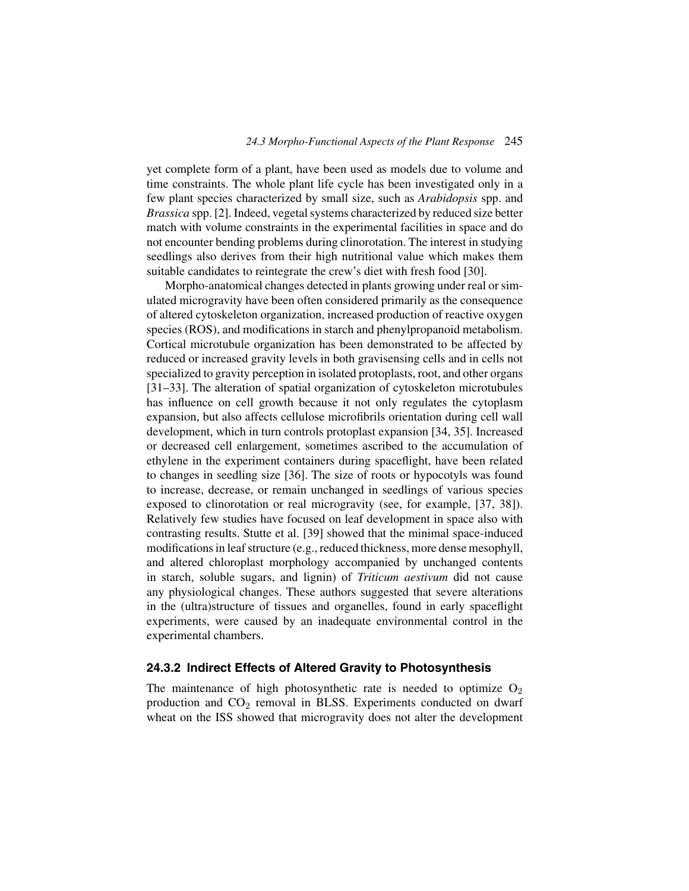yet complete form of a plant, have been used as models due to volume and time constraints. The whole plant life cycle has been investigated only in a few plant species characterized by small size, such as *Arabidopsis* spp. and *Brassica* spp. [2]. Indeed, vegetal systems characterized by reduced size better match with volume constraints in the experimental facilities in space and do not encounter bending problems during clinorotation. The interest in studying seedlings also derives from their high nutritional value which makes them suitable candidates to reintegrate the crew's diet with fresh food [30].

Morpho-anatomical changes detected in plants growing under real or simulated microgravity have been often considered primarily as the consequence of altered cytoskeleton organization, increased production of reactive oxygen species (ROS), and modifications in starch and phenylpropanoid metabolism. Cortical microtubule organization has been demonstrated to be affected by reduced or increased gravity levels in both gravisensing cells and in cells not specialized to gravity perception in isolated protoplasts, root, and other organs [31–33]. The alteration of spatial organization of cytoskeleton microtubules has influence on cell growth because it not only regulates the cytoplasm expansion, but also affects cellulose microfibrils orientation during cell wall development, which in turn controls protoplast expansion [34, 35]. Increased or decreased cell enlargement, sometimes ascribed to the accumulation of ethylene in the experiment containers during spaceflight, have been related to changes in seedling size [36]. The size of roots or hypocotyls was found to increase, decrease, or remain unchanged in seedlings of various species exposed to clinorotation or real microgravity (see, for example, [37, 38]). Relatively few studies have focused on leaf development in space also with contrasting results. Stutte et al. [39] showed that the minimal space-induced modifications in leaf structure (e.g., reduced thickness, more dense mesophyll, and altered chloroplast morphology accompanied by unchanged contents in starch, soluble sugars, and lignin) of *Triticum aestivum* did not cause any physiological changes. These authors suggested that severe alterations in the (ultra)structure of tissues and organelles, found in early spaceflight experiments, were caused by an inadequate environmental control in the experimental chambers.

#### **24.3.2 Indirect Effects of Altered Gravity to Photosynthesis**

The maintenance of high photosynthetic rate is needed to optimize  $O_2$ production and  $CO<sub>2</sub>$  removal in BLSS. Experiments conducted on dwarf wheat on the ISS showed that microgravity does not alter the development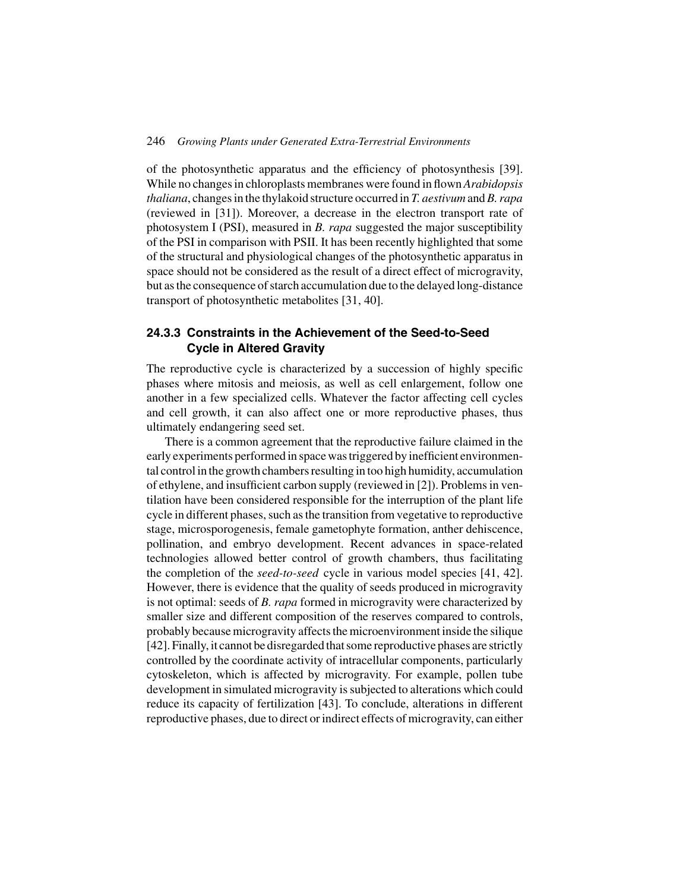of the photosynthetic apparatus and the efficiency of photosynthesis [39]. While no changes in chloroplasts membranes were found in flown*Arabidopsis thaliana*, changes in the thylakoid structure occurred in *T. aestivum* and*B. rapa* (reviewed in [31]). Moreover, a decrease in the electron transport rate of photosystem I (PSI), measured in *B. rapa* suggested the major susceptibility of the PSI in comparison with PSII. It has been recently highlighted that some of the structural and physiological changes of the photosynthetic apparatus in space should not be considered as the result of a direct effect of microgravity, but as the consequence of starch accumulation due to the delayed long-distance transport of photosynthetic metabolites [31, 40].

## **24.3.3 Constraints in the Achievement of the Seed-to-Seed Cycle in Altered Gravity**

The reproductive cycle is characterized by a succession of highly specific phases where mitosis and meiosis, as well as cell enlargement, follow one another in a few specialized cells. Whatever the factor affecting cell cycles and cell growth, it can also affect one or more reproductive phases, thus ultimately endangering seed set.

There is a common agreement that the reproductive failure claimed in the early experiments performed in space was triggered by inefficient environmental control in the growth chambers resulting in too high humidity, accumulation of ethylene, and insufficient carbon supply (reviewed in [2]). Problems in ventilation have been considered responsible for the interruption of the plant life cycle in different phases, such as the transition from vegetative to reproductive stage, microsporogenesis, female gametophyte formation, anther dehiscence, pollination, and embryo development. Recent advances in space-related technologies allowed better control of growth chambers, thus facilitating the completion of the *seed-to-seed* cycle in various model species [41, 42]. However, there is evidence that the quality of seeds produced in microgravity is not optimal: seeds of *B. rapa* formed in microgravity were characterized by smaller size and different composition of the reserves compared to controls, probably because microgravity affects the microenvironment inside the silique [42]. Finally, it cannot be disregarded that some reproductive phases are strictly controlled by the coordinate activity of intracellular components, particularly cytoskeleton, which is affected by microgravity. For example, pollen tube development in simulated microgravity is subjected to alterations which could reduce its capacity of fertilization [43]. To conclude, alterations in different reproductive phases, due to direct or indirect effects of microgravity, can either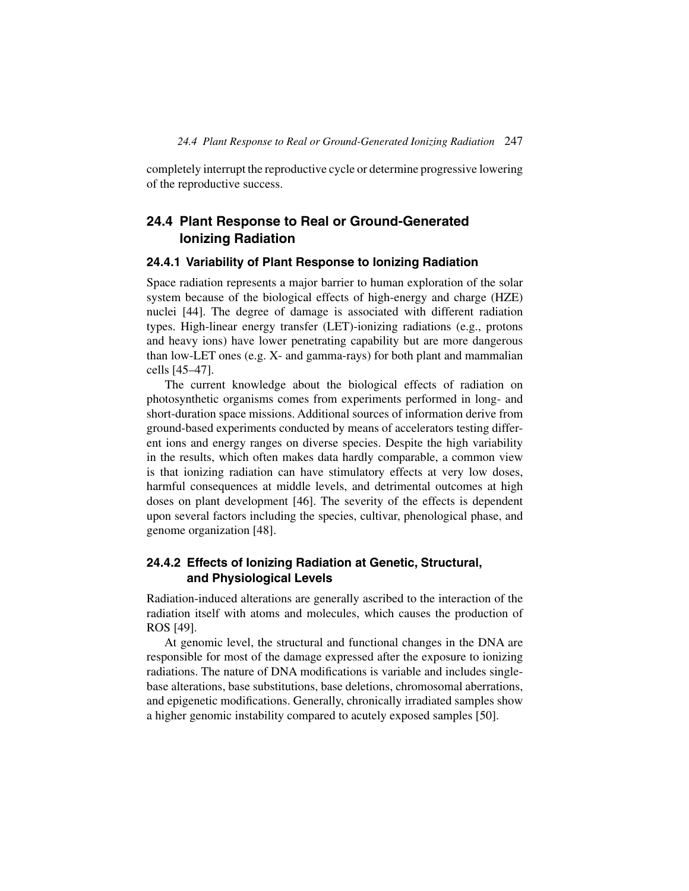completely interrupt the reproductive cycle or determine progressive lowering of the reproductive success.

## **24.4 Plant Response to Real or Ground-Generated Ionizing Radiation**

#### **24.4.1 Variability of Plant Response to Ionizing Radiation**

Space radiation represents a major barrier to human exploration of the solar system because of the biological effects of high-energy and charge (HZE) nuclei [44]. The degree of damage is associated with different radiation types. High-linear energy transfer (LET)-ionizing radiations (e.g., protons and heavy ions) have lower penetrating capability but are more dangerous than low-LET ones (e.g. X- and gamma-rays) for both plant and mammalian cells [45–47].

The current knowledge about the biological effects of radiation on photosynthetic organisms comes from experiments performed in long- and short-duration space missions. Additional sources of information derive from ground-based experiments conducted by means of accelerators testing different ions and energy ranges on diverse species. Despite the high variability in the results, which often makes data hardly comparable, a common view is that ionizing radiation can have stimulatory effects at very low doses, harmful consequences at middle levels, and detrimental outcomes at high doses on plant development [46]. The severity of the effects is dependent upon several factors including the species, cultivar, phenological phase, and genome organization [48].

## **24.4.2 Effects of Ionizing Radiation at Genetic, Structural, and Physiological Levels**

Radiation-induced alterations are generally ascribed to the interaction of the radiation itself with atoms and molecules, which causes the production of ROS [49].

At genomic level, the structural and functional changes in the DNA are responsible for most of the damage expressed after the exposure to ionizing radiations. The nature of DNA modifications is variable and includes singlebase alterations, base substitutions, base deletions, chromosomal aberrations, and epigenetic modifications. Generally, chronically irradiated samples show a higher genomic instability compared to acutely exposed samples [50].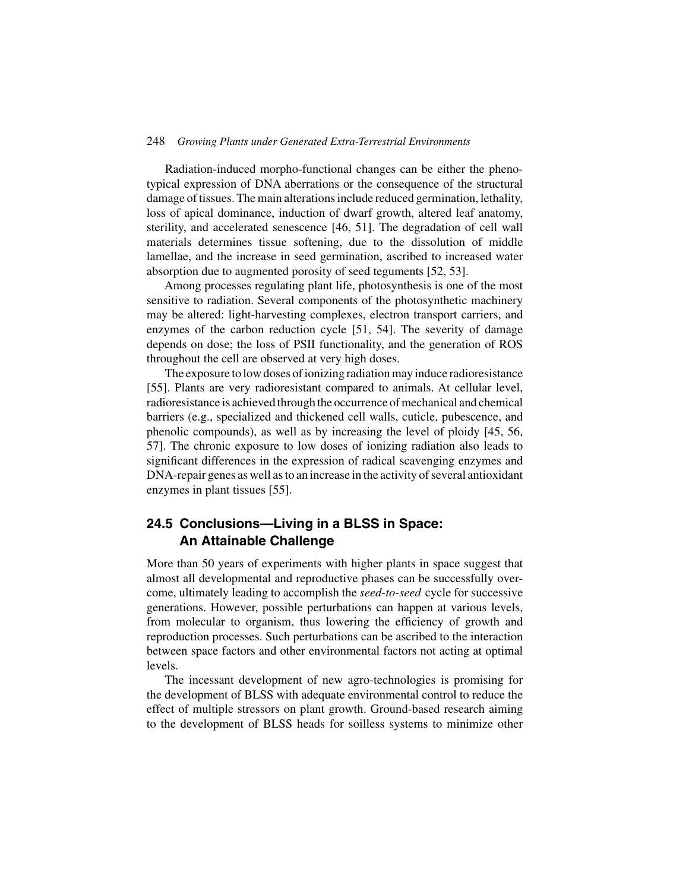Radiation-induced morpho-functional changes can be either the phenotypical expression of DNA aberrations or the consequence of the structural damage of tissues. The main alterations include reduced germination, lethality, loss of apical dominance, induction of dwarf growth, altered leaf anatomy, sterility, and accelerated senescence [46, 51]. The degradation of cell wall materials determines tissue softening, due to the dissolution of middle lamellae, and the increase in seed germination, ascribed to increased water absorption due to augmented porosity of seed teguments [52, 53].

Among processes regulating plant life, photosynthesis is one of the most sensitive to radiation. Several components of the photosynthetic machinery may be altered: light-harvesting complexes, electron transport carriers, and enzymes of the carbon reduction cycle [51, 54]. The severity of damage depends on dose; the loss of PSII functionality, and the generation of ROS throughout the cell are observed at very high doses.

The exposure to low doses of ionizing radiation may induce radioresistance [55]. Plants are very radioresistant compared to animals. At cellular level, radioresistance is achieved through the occurrence of mechanical and chemical barriers (e.g., specialized and thickened cell walls, cuticle, pubescence, and phenolic compounds), as well as by increasing the level of ploidy [45, 56, 57]. The chronic exposure to low doses of ionizing radiation also leads to significant differences in the expression of radical scavenging enzymes and DNA-repair genes as well as to an increase in the activity of several antioxidant enzymes in plant tissues [55].

## **24.5 Conclusions—Living in a BLSS in Space: An Attainable Challenge**

More than 50 years of experiments with higher plants in space suggest that almost all developmental and reproductive phases can be successfully overcome, ultimately leading to accomplish the *seed-to-seed* cycle for successive generations. However, possible perturbations can happen at various levels, from molecular to organism, thus lowering the efficiency of growth and reproduction processes. Such perturbations can be ascribed to the interaction between space factors and other environmental factors not acting at optimal levels.

The incessant development of new agro-technologies is promising for the development of BLSS with adequate environmental control to reduce the effect of multiple stressors on plant growth. Ground-based research aiming to the development of BLSS heads for soilless systems to minimize other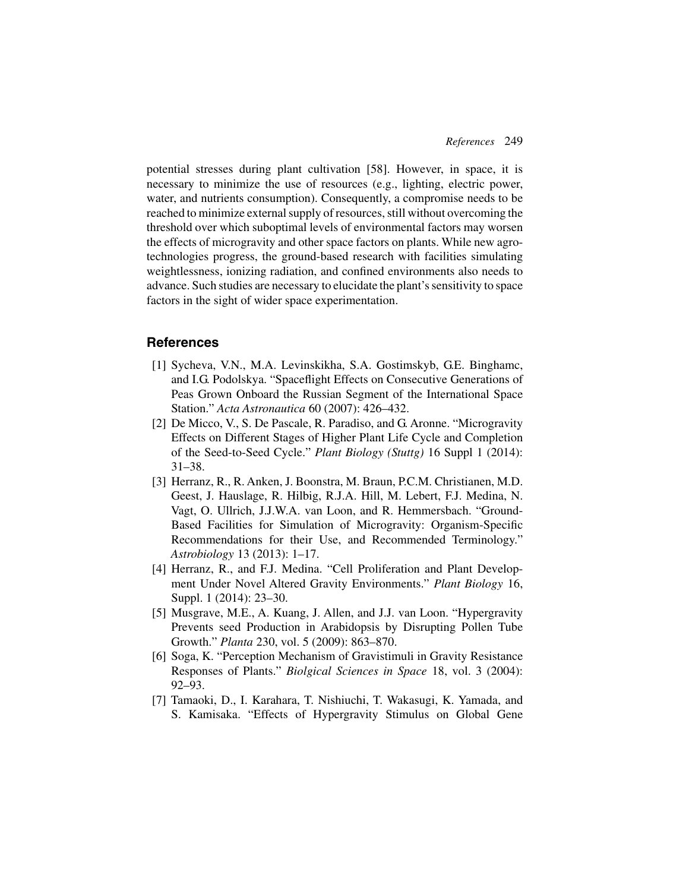potential stresses during plant cultivation [58]. However, in space, it is necessary to minimize the use of resources (e.g., lighting, electric power, water, and nutrients consumption). Consequently, a compromise needs to be reached to minimize external supply of resources, still without overcoming the threshold over which suboptimal levels of environmental factors may worsen the effects of microgravity and other space factors on plants. While new agrotechnologies progress, the ground-based research with facilities simulating weightlessness, ionizing radiation, and confined environments also needs to advance. Such studies are necessary to elucidate the plant's sensitivity to space factors in the sight of wider space experimentation.

### **References**

- [1] Sycheva, V.N., M.A. Levinskikha, S.A. Gostimskyb, G.E. Binghamc, and I.G. Podolskya. "Spaceflight Effects on Consecutive Generations of Peas Grown Onboard the Russian Segment of the International Space Station." *Acta Astronautica* 60 (2007): 426–432.
- [2] De Micco, V., S. De Pascale, R. Paradiso, and G. Aronne. "Microgravity Effects on Different Stages of Higher Plant Life Cycle and Completion of the Seed-to-Seed Cycle." *Plant Biology (Stuttg)* 16 Suppl 1 (2014): 31–38.
- [3] Herranz, R., R. Anken, J. Boonstra, M. Braun, P.C.M. Christianen, M.D. Geest, J. Hauslage, R. Hilbig, R.J.A. Hill, M. Lebert, F.J. Medina, N. Vagt, O. Ullrich, J.J.W.A. van Loon, and R. Hemmersbach. "Ground-Based Facilities for Simulation of Microgravity: Organism-Specific Recommendations for their Use, and Recommended Terminology." *Astrobiology* 13 (2013): 1–17.
- [4] Herranz, R., and F.J. Medina. "Cell Proliferation and Plant Development Under Novel Altered Gravity Environments." *Plant Biology* 16, Suppl. 1 (2014): 23–30.
- [5] Musgrave, M.E., A. Kuang, J. Allen, and J.J. van Loon. "Hypergravity Prevents seed Production in Arabidopsis by Disrupting Pollen Tube Growth." *Planta* 230, vol. 5 (2009): 863–870.
- [6] Soga, K. "Perception Mechanism of Gravistimuli in Gravity Resistance Responses of Plants." *Biolgical Sciences in Space* 18, vol. 3 (2004): 92–93.
- [7] Tamaoki, D., I. Karahara, T. Nishiuchi, T. Wakasugi, K. Yamada, and S. Kamisaka. "Effects of Hypergravity Stimulus on Global Gene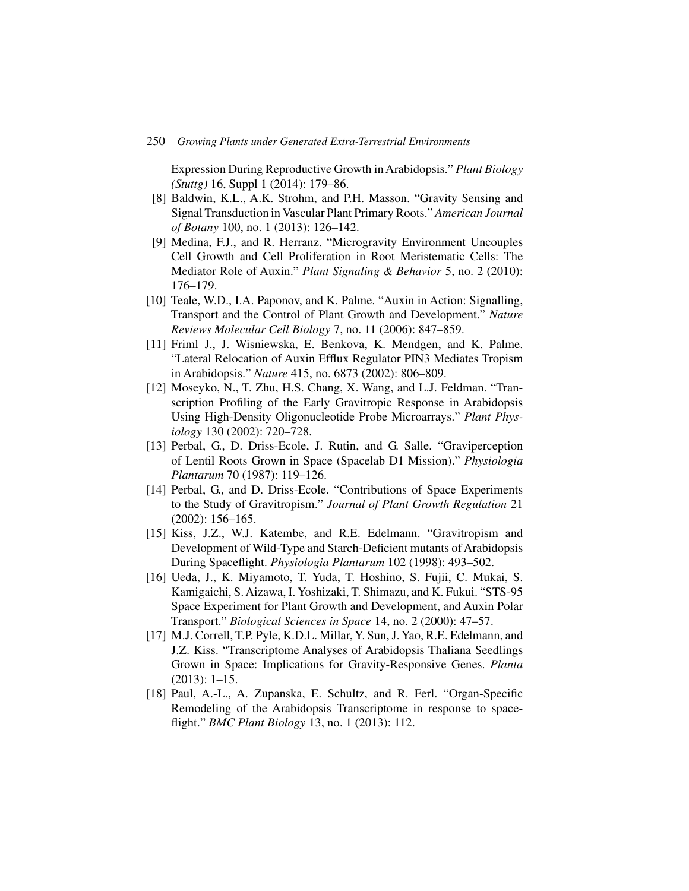Expression During Reproductive Growth in Arabidopsis." *Plant Biology (Stuttg)* 16, Suppl 1 (2014): 179–86.

- [8] Baldwin, K.L., A.K. Strohm, and P.H. Masson. "Gravity Sensing and Signal Transduction in Vascular Plant Primary Roots." *American Journal of Botany* 100, no. 1 (2013): 126–142.
- [9] Medina, F.J., and R. Herranz. "Microgravity Environment Uncouples Cell Growth and Cell Proliferation in Root Meristematic Cells: The Mediator Role of Auxin." *Plant Signaling & Behavior* 5, no. 2 (2010): 176–179.
- [10] Teale, W.D., I.A. Paponov, and K. Palme. "Auxin in Action: Signalling, Transport and the Control of Plant Growth and Development." *Nature Reviews Molecular Cell Biology* 7, no. 11 (2006): 847–859.
- [11] Friml J., J. Wisniewska, E. Benkova, K. Mendgen, and K. Palme. "Lateral Relocation of Auxin Efflux Regulator PIN3 Mediates Tropism in Arabidopsis." *Nature* 415, no. 6873 (2002): 806–809.
- [12] Moseyko, N., T. Zhu, H.S. Chang, X. Wang, and L.J. Feldman. "Transcription Profiling of the Early Gravitropic Response in Arabidopsis Using High-Density Oligonucleotide Probe Microarrays." *Plant Physiology* 130 (2002): 720–728.
- [13] Perbal, G., D. Driss-Ecole, J. Rutin, and G. Salle. "Graviperception of Lentil Roots Grown in Space (Spacelab D1 Mission)." *Physiologia Plantarum* 70 (1987): 119–126.
- [14] Perbal, G., and D. Driss-Ecole. "Contributions of Space Experiments to the Study of Gravitropism." *Journal of Plant Growth Regulation* 21 (2002): 156–165.
- [15] Kiss, J.Z., W.J. Katembe, and R.E. Edelmann. "Gravitropism and Development of Wild-Type and Starch-Deficient mutants of Arabidopsis During Spaceflight. *Physiologia Plantarum* 102 (1998): 493–502.
- [16] Ueda, J., K. Miyamoto, T. Yuda, T. Hoshino, S. Fujii, C. Mukai, S. Kamigaichi, S. Aizawa, I. Yoshizaki, T. Shimazu, and K. Fukui. "STS-95 Space Experiment for Plant Growth and Development, and Auxin Polar Transport." *Biological Sciences in Space* 14, no. 2 (2000): 47–57.
- [17] M.J. Correll, T.P. Pyle, K.D.L. Millar, Y. Sun, J. Yao, R.E. Edelmann, and J.Z. Kiss. "Transcriptome Analyses of Arabidopsis Thaliana Seedlings Grown in Space: Implications for Gravity-Responsive Genes. *Planta* (2013): 1–15.
- [18] Paul, A.-L., A. Zupanska, E. Schultz, and R. Ferl. "Organ-Specific Remodeling of the Arabidopsis Transcriptome in response to spaceflight." *BMC Plant Biology* 13, no. 1 (2013): 112.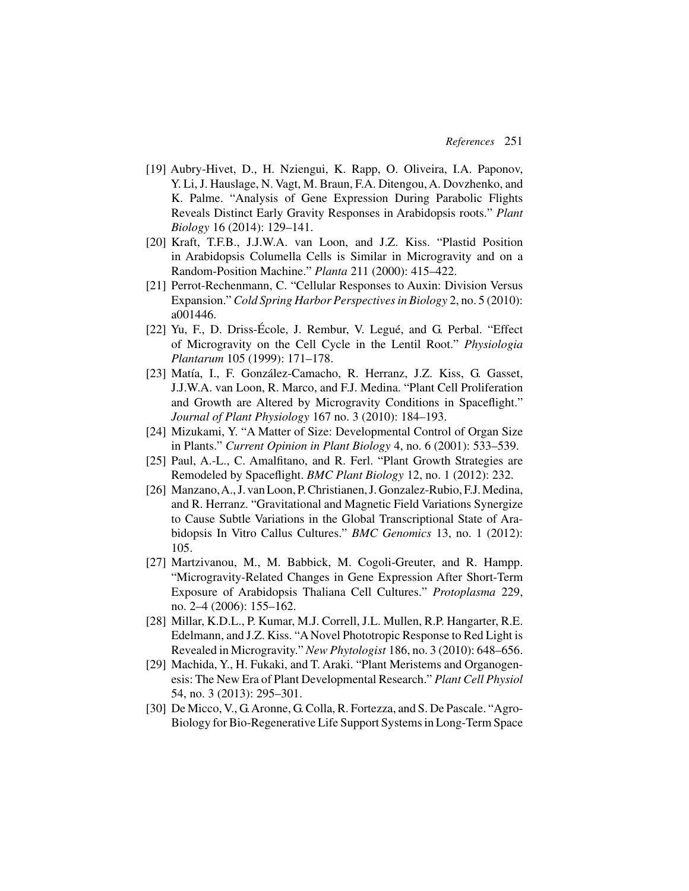- [19] Aubry-Hivet, D., H. Nziengui, K. Rapp, O. Oliveira, I.A. Paponov, Y. Li, J. Hauslage, N. Vagt, M. Braun, F.A. Ditengou, A. Dovzhenko, and K. Palme. "Analysis of Gene Expression During Parabolic Flights Reveals Distinct Early Gravity Responses in Arabidopsis roots." *Plant Biology* 16 (2014): 129–141.
- [20] Kraft, T.F.B., J.J.W.A. van Loon, and J.Z. Kiss. "Plastid Position in Arabidopsis Columella Cells is Similar in Microgravity and on a Random-Position Machine." *Planta* 211 (2000): 415–422.
- [21] Perrot-Rechenmann, C. "Cellular Responses to Auxin: Division Versus Expansion." *Cold Spring Harbor Perspectives in Biology* 2, no. 5 (2010): a001446.
- [22] Yu, F., D. Driss-École, J. Rembur, V. Legué, and G. Perbal. "Effect of Microgravity on the Cell Cycle in the Lentil Root." *Physiologia Plantarum* 105 (1999): 171–178.
- [23] Matía, I., F. González-Camacho, R. Herranz, J.Z. Kiss, G. Gasset, J.J.W.A. van Loon, R. Marco, and F.J. Medina. "Plant Cell Proliferation and Growth are Altered by Microgravity Conditions in Spaceflight." *Journal of Plant Physiology* 167 no. 3 (2010): 184–193.
- [24] Mizukami, Y. "A Matter of Size: Developmental Control of Organ Size in Plants." *Current Opinion in Plant Biology* 4, no. 6 (2001): 533–539.
- [25] Paul, A.-L., C. Amalfitano, and R. Ferl. "Plant Growth Strategies are Remodeled by Spaceflight. *BMC Plant Biology* 12, no. 1 (2012): 232.
- [26] Manzano,A., J. van Loon, P. Christianen, J. Gonzalez-Rubio, F.J. Medina, and R. Herranz. "Gravitational and Magnetic Field Variations Synergize to Cause Subtle Variations in the Global Transcriptional State of Arabidopsis In Vitro Callus Cultures." *BMC Genomics* 13, no. 1 (2012): 105.
- [27] Martzivanou, M., M. Babbick, M. Cogoli-Greuter, and R. Hampp. "Microgravity-Related Changes in Gene Expression After Short-Term Exposure of Arabidopsis Thaliana Cell Cultures." *Protoplasma* 229, no. 2–4 (2006): 155–162.
- [28] Millar, K.D.L., P. Kumar, M.J. Correll, J.L. Mullen, R.P. Hangarter, R.E. Edelmann, and J.Z. Kiss. "A Novel Phototropic Response to Red Light is Revealed in Microgravity." *New Phytologist* 186, no. 3 (2010): 648–656.
- [29] Machida, Y., H. Fukaki, and T. Araki. "Plant Meristems and Organogenesis: The New Era of Plant Developmental Research." *Plant Cell Physiol* 54, no. 3 (2013): 295–301.
- [30] De Micco, V., G. Aronne, G. Colla, R. Fortezza, and S. De Pascale. "Agro-Biology for Bio-Regenerative Life Support Systems in Long-Term Space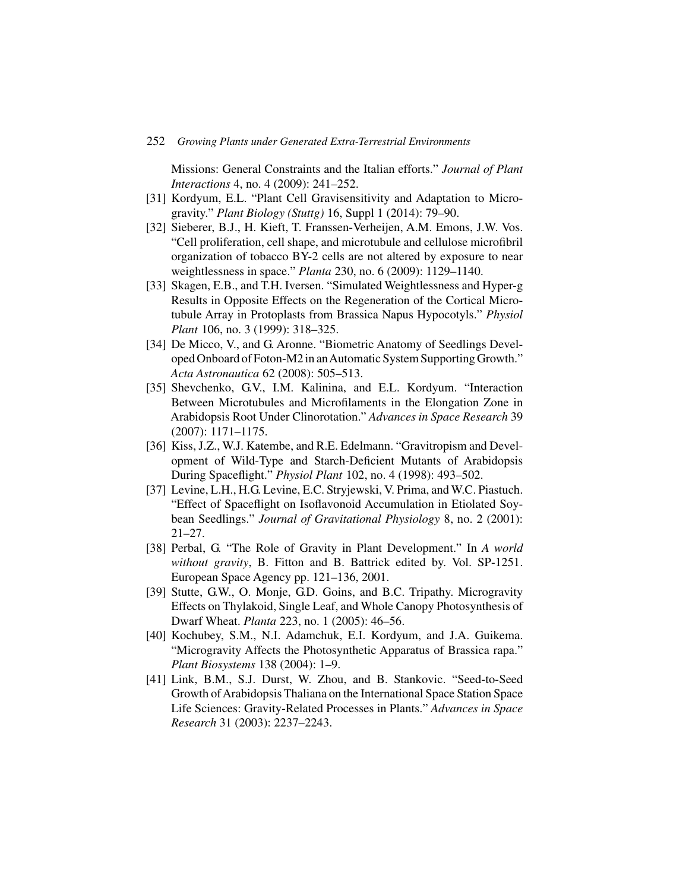Missions: General Constraints and the Italian efforts." *Journal of Plant Interactions* 4, no. 4 (2009): 241–252.

- [31] Kordyum, E.L. "Plant Cell Gravisensitivity and Adaptation to Microgravity." *Plant Biology (Stuttg)* 16, Suppl 1 (2014): 79–90.
- [32] Sieberer, B.J., H. Kieft, T. Franssen-Verheijen, A.M. Emons, J.W. Vos. "Cell proliferation, cell shape, and microtubule and cellulose microfibril organization of tobacco BY-2 cells are not altered by exposure to near weightlessness in space." *Planta* 230, no. 6 (2009): 1129–1140.
- [33] Skagen, E.B., and T.H. Iversen. "Simulated Weightlessness and Hyper-g Results in Opposite Effects on the Regeneration of the Cortical Microtubule Array in Protoplasts from Brassica Napus Hypocotyls." *Physiol Plant* 106, no. 3 (1999): 318–325.
- [34] De Micco, V., and G. Aronne. "Biometric Anatomy of Seedlings Developed Onboard of Foton-M2 in anAutomatic System Supporting Growth." *Acta Astronautica* 62 (2008): 505–513.
- [35] Shevchenko, G.V., I.M. Kalinina, and E.L. Kordyum. "Interaction Between Microtubules and Microfilaments in the Elongation Zone in Arabidopsis Root Under Clinorotation." *Advances in Space Research* 39 (2007): 1171–1175.
- [36] Kiss, J.Z., W.J. Katembe, and R.E. Edelmann. "Gravitropism and Development of Wild-Type and Starch-Deficient Mutants of Arabidopsis During Spaceflight." *Physiol Plant* 102, no. 4 (1998): 493–502.
- [37] Levine, L.H., H.G. Levine, E.C. Stryjewski, V. Prima, and W.C. Piastuch. "Effect of Spaceflight on Isoflavonoid Accumulation in Etiolated Soybean Seedlings." *Journal of Gravitational Physiology* 8, no. 2 (2001): 21–27.
- [38] Perbal, G. "The Role of Gravity in Plant Development." In *A world without gravity*, B. Fitton and B. Battrick edited by. Vol. SP-1251. European Space Agency pp. 121–136, 2001.
- [39] Stutte, G.W., O. Monje, G.D. Goins, and B.C. Tripathy. Microgravity Effects on Thylakoid, Single Leaf, and Whole Canopy Photosynthesis of Dwarf Wheat. *Planta* 223, no. 1 (2005): 46–56.
- [40] Kochubey, S.M., N.I. Adamchuk, E.I. Kordyum, and J.A. Guikema. "Microgravity Affects the Photosynthetic Apparatus of Brassica rapa." *Plant Biosystems* 138 (2004): 1–9.
- [41] Link, B.M., S.J. Durst, W. Zhou, and B. Stankovic. "Seed-to-Seed Growth of Arabidopsis Thaliana on the International Space Station Space Life Sciences: Gravity-Related Processes in Plants." *Advances in Space Research* 31 (2003): 2237–2243.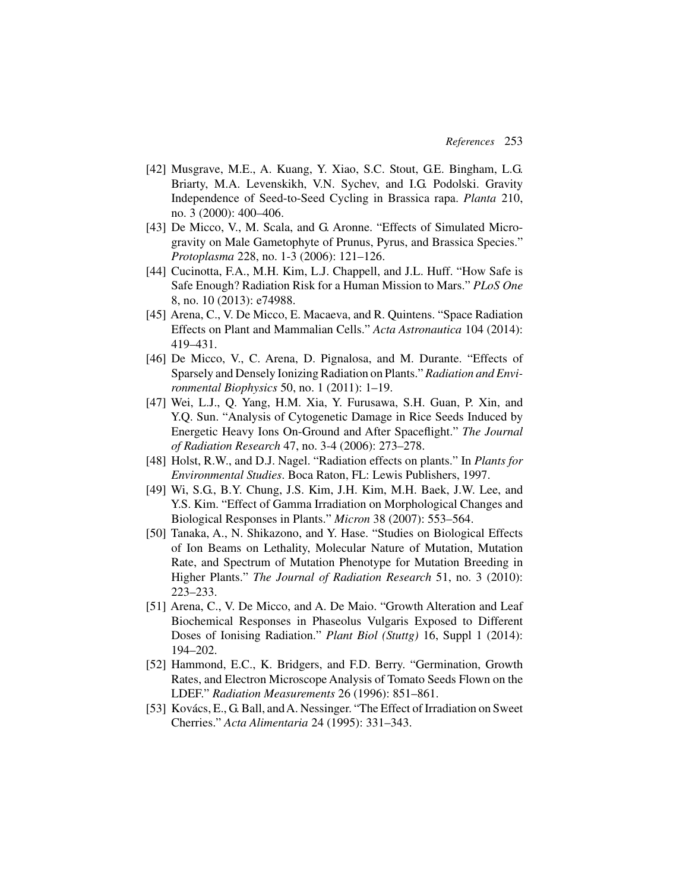- [42] Musgrave, M.E., A. Kuang, Y. Xiao, S.C. Stout, G.E. Bingham, L.G. Briarty, M.A. Levenskikh, V.N. Sychev, and I.G. Podolski. Gravity Independence of Seed-to-Seed Cycling in Brassica rapa. *Planta* 210, no. 3 (2000): 400–406.
- [43] De Micco, V., M. Scala, and G. Aronne. "Effects of Simulated Microgravity on Male Gametophyte of Prunus, Pyrus, and Brassica Species." *Protoplasma* 228, no. 1-3 (2006): 121–126.
- [44] Cucinotta, F.A., M.H. Kim, L.J. Chappell, and J.L. Huff. "How Safe is Safe Enough? Radiation Risk for a Human Mission to Mars." *PLoS One* 8, no. 10 (2013): e74988.
- [45] Arena, C., V. De Micco, E. Macaeva, and R. Quintens. "Space Radiation Effects on Plant and Mammalian Cells." *Acta Astronautica* 104 (2014): 419–431.
- [46] De Micco, V., C. Arena, D. Pignalosa, and M. Durante. "Effects of Sparsely and Densely Ionizing Radiation on Plants." *Radiation and Environmental Biophysics* 50, no. 1 (2011): 1–19.
- [47] Wei, L.J., Q. Yang, H.M. Xia, Y. Furusawa, S.H. Guan, P. Xin, and Y.Q. Sun. "Analysis of Cytogenetic Damage in Rice Seeds Induced by Energetic Heavy Ions On-Ground and After Spaceflight." *The Journal of Radiation Research* 47, no. 3-4 (2006): 273–278.
- [48] Holst, R.W., and D.J. Nagel. "Radiation effects on plants." In *Plants for Environmental Studies*. Boca Raton, FL: Lewis Publishers, 1997.
- [49] Wi, S.G., B.Y. Chung, J.S. Kim, J.H. Kim, M.H. Baek, J.W. Lee, and Y.S. Kim. "Effect of Gamma Irradiation on Morphological Changes and Biological Responses in Plants." *Micron* 38 (2007): 553–564.
- [50] Tanaka, A., N. Shikazono, and Y. Hase. "Studies on Biological Effects of Ion Beams on Lethality, Molecular Nature of Mutation, Mutation Rate, and Spectrum of Mutation Phenotype for Mutation Breeding in Higher Plants." *The Journal of Radiation Research* 51, no. 3 (2010): 223–233.
- [51] Arena, C., V. De Micco, and A. De Maio. "Growth Alteration and Leaf Biochemical Responses in Phaseolus Vulgaris Exposed to Different Doses of Ionising Radiation." *Plant Biol (Stuttg)* 16, Suppl 1 (2014): 194–202.
- [52] Hammond, E.C., K. Bridgers, and F.D. Berry. "Germination, Growth Rates, and Electron Microscope Analysis of Tomato Seeds Flown on the LDEF." *Radiation Measurements* 26 (1996): 851–861.
- [53] Kovács, E., G. Ball, and A. Nessinger. "The Effect of Irradiation on Sweet Cherries." *Acta Alimentaria* 24 (1995): 331–343.